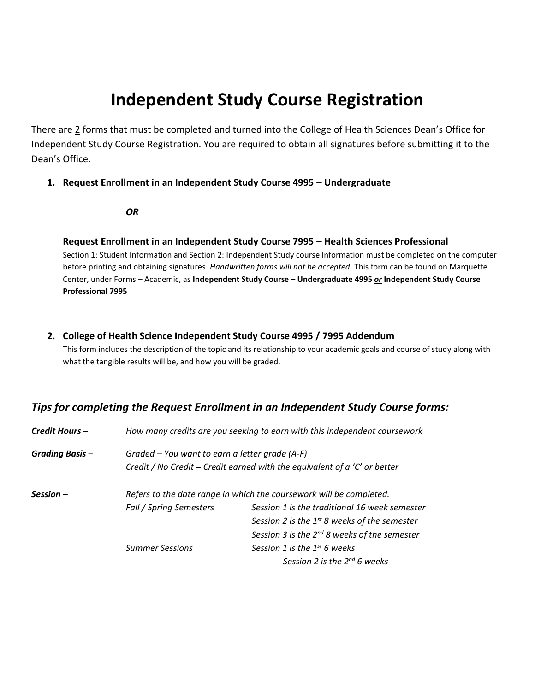# **Independent Study Course Registration**

There are 2 forms that must be completed and turned into the College of Health Sciences Dean's Office for Independent Study Course Registration. You are required to obtain all signatures before submitting it to the Dean's Office.

#### **1. Request Enrollment in an Independent Study Course 4995 – Undergraduate**

#### *OR*

#### **Request Enrollment in an Independent Study Course 7995 – Health Sciences Professional**

Section 1: Student Information and Section 2: Independent Study course Information must be completed on the computer before printing and obtaining signatures. *Handwritten forms will not be accepted.* This form can be found on Marquette Center, under Forms – Academic, as **Independent Study Course – Undergraduate 4995** *or* **Independent Study Course Professional 7995**

#### **2. College of Health Science Independent Study Course 4995 / 7995 Addendum**

This form includes the description of the topic and its relationship to your academic goals and course of study along with what the tangible results will be, and how you will be graded.

### *Tips for completing the Request Enrollment in an Independent Study Course forms:*

| Credit Hours -         | How many credits are you seeking to earn with this independent coursework |                                                   |  |
|------------------------|---------------------------------------------------------------------------|---------------------------------------------------|--|
| <b>Grading Basis -</b> | Graded – You want to earn a letter grade (A-F)                            |                                                   |  |
|                        | Credit / No Credit - Credit earned with the equivalent of a 'C' or better |                                                   |  |
| $Session -$            | Refers to the date range in which the coursework will be completed.       |                                                   |  |
|                        | Fall / Spring Semesters                                                   | Session 1 is the traditional 16 week semester     |  |
|                        |                                                                           | Session 2 is the $1^{st}$ 8 weeks of the semester |  |
|                        |                                                                           | Session 3 is the $2^{nd}$ 8 weeks of the semester |  |
|                        | <b>Summer Sessions</b>                                                    | Session 1 is the 1 <sup>st</sup> 6 weeks          |  |
|                        |                                                                           | Session 2 is the $2^{nd}$ 6 weeks                 |  |